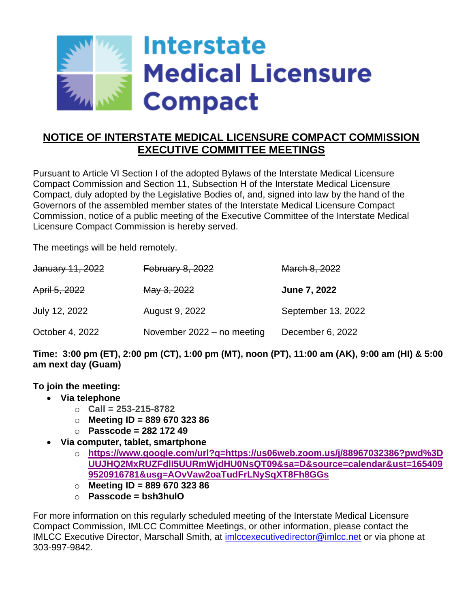

# **NOTICE OF INTERSTATE MEDICAL LICENSURE COMPACT COMMISSION EXECUTIVE COMMITTEE MEETINGS**

Pursuant to Article VI Section I of the adopted Bylaws of the Interstate Medical Licensure Compact Commission and Section 11, Subsection H of the Interstate Medical Licensure Compact, duly adopted by the Legislative Bodies of, and, signed into law by the hand of the Governors of the assembled member states of the Interstate Medical Licensure Compact Commission, notice of a public meeting of the Executive Committee of the Interstate Medical Licensure Compact Commission is hereby served.

The meetings will be held remotely.

| January 11, 2022 | <b>February 8, 2022</b>    | March 8, 2022       |
|------------------|----------------------------|---------------------|
| April 5, 2022    | May 3, 2022                | <b>June 7, 2022</b> |
| July 12, 2022    | August 9, 2022             | September 13, 2022  |
| October 4, 2022  | November 2022 - no meeting | December 6, 2022    |

**Time: 3:00 pm (ET), 2:00 pm (CT), 1:00 pm (MT), noon (PT), 11:00 am (AK), 9:00 am (HI) & 5:00 am next day (Guam)**

**To join the meeting:**

- **Via telephone** 
	- o **Call = 253-215-8782**
	- o **Meeting ID = 889 670 323 86**
	- o **Passcode = 282 172 49**
- **Via computer, tablet, smartphone**
	- o **[https://www.google.com/url?q=https://us06web.zoom.us/j/88967032386?pwd%3D](https://www.google.com/url?q=https://us06web.zoom.us/j/88967032386?pwd%3DUUJHQ2MxRUZFdlI5UURmWjdHU0NsQT09&sa=D&source=calendar&ust=1654099520916781&usg=AOvVaw2oaTudFrLNySqXT8Fh8GGs) [UUJHQ2MxRUZFdlI5UURmWjdHU0NsQT09&sa=D&source=calendar&ust=165409](https://www.google.com/url?q=https://us06web.zoom.us/j/88967032386?pwd%3DUUJHQ2MxRUZFdlI5UURmWjdHU0NsQT09&sa=D&source=calendar&ust=1654099520916781&usg=AOvVaw2oaTudFrLNySqXT8Fh8GGs) [9520916781&usg=AOvVaw2oaTudFrLNySqXT8Fh8GGs](https://www.google.com/url?q=https://us06web.zoom.us/j/88967032386?pwd%3DUUJHQ2MxRUZFdlI5UURmWjdHU0NsQT09&sa=D&source=calendar&ust=1654099520916781&usg=AOvVaw2oaTudFrLNySqXT8Fh8GGs)**
	- o **Meeting ID = 889 670 323 86**
	- o **Passcode = bsh3hulO**

For more information on this regularly scheduled meeting of the Interstate Medical Licensure Compact Commission, IMLCC Committee Meetings, or other information, please contact the IMLCC Executive Director, Marschall Smith, at [imlccexecutivedirector@imlcc.net](mailto:imlccexecutivedirector@imlcc.net) or via phone at 303-997-9842.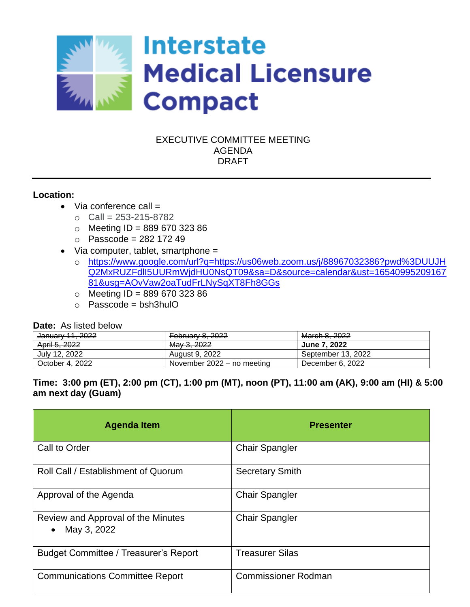

## EXECUTIVE COMMITTEE MEETING AGENDA DRAFT

#### **Location:**

- $\bullet$  Via conference call =
	- $O$  Call = 253-215-8782
	- $\circ$  Meeting ID = 889 670 323 86
	- $\circ$  Passcode = 282 172 49
- Via computer, tablet, smartphone =
	- o [https://www.google.com/url?q=https://us06web.zoom.us/j/88967032386?pwd%3DUUJH](https://www.google.com/url?q=https://us06web.zoom.us/j/88967032386?pwd%3DUUJHQ2MxRUZFdlI5UURmWjdHU0NsQT09&sa=D&source=calendar&ust=1654099520916781&usg=AOvVaw2oaTudFrLNySqXT8Fh8GGs) [Q2MxRUZFdlI5UURmWjdHU0NsQT09&sa=D&source=calendar&ust=16540995209167](https://www.google.com/url?q=https://us06web.zoom.us/j/88967032386?pwd%3DUUJHQ2MxRUZFdlI5UURmWjdHU0NsQT09&sa=D&source=calendar&ust=1654099520916781&usg=AOvVaw2oaTudFrLNySqXT8Fh8GGs) [81&usg=AOvVaw2oaTudFrLNySqXT8Fh8GGs](https://www.google.com/url?q=https://us06web.zoom.us/j/88967032386?pwd%3DUUJHQ2MxRUZFdlI5UURmWjdHU0NsQT09&sa=D&source=calendar&ust=1654099520916781&usg=AOvVaw2oaTudFrLNySqXT8Fh8GGs)
	- $\circ$  Meeting ID = 889 670 323 86
	- $\circ$  Passcode = bsh3hulO

#### **Date:** As listed below

| January 11, 2022 | <b>February 8, 2022</b>    | March 8, 2022       |
|------------------|----------------------------|---------------------|
| April 5, 2022    | May 3, 2022                | <b>June 7, 2022</b> |
| July 12, 2022    | August 9, 2022             | September 13, 2022  |
| October 4, 2022  | November 2022 – no meeting | December 6, 2022    |

## **Time: 3:00 pm (ET), 2:00 pm (CT), 1:00 pm (MT), noon (PT), 11:00 am (AK), 9:00 am (HI) & 5:00 am next day (Guam)**

| <b>Agenda Item</b>                                             | <b>Presenter</b>           |
|----------------------------------------------------------------|----------------------------|
| Call to Order                                                  | <b>Chair Spangler</b>      |
| Roll Call / Establishment of Quorum                            | <b>Secretary Smith</b>     |
| Approval of the Agenda                                         | <b>Chair Spangler</b>      |
| Review and Approval of the Minutes<br>May 3, 2022<br>$\bullet$ | <b>Chair Spangler</b>      |
| <b>Budget Committee / Treasurer's Report</b>                   | <b>Treasurer Silas</b>     |
| <b>Communications Committee Report</b>                         | <b>Commissioner Rodman</b> |